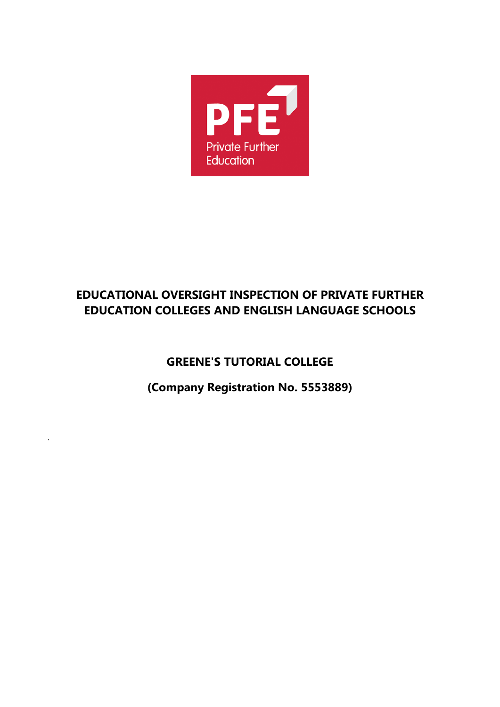

# **EDUCATIONAL OVERSIGHT INSPECTION OF PRIVATE FURTHER EDUCATION COLLEGES AND ENGLISH LANGUAGE SCHOOLS**

**GREENE'S TUTORIAL COLLEGE**

**(Company Registration No. 5553889)**

.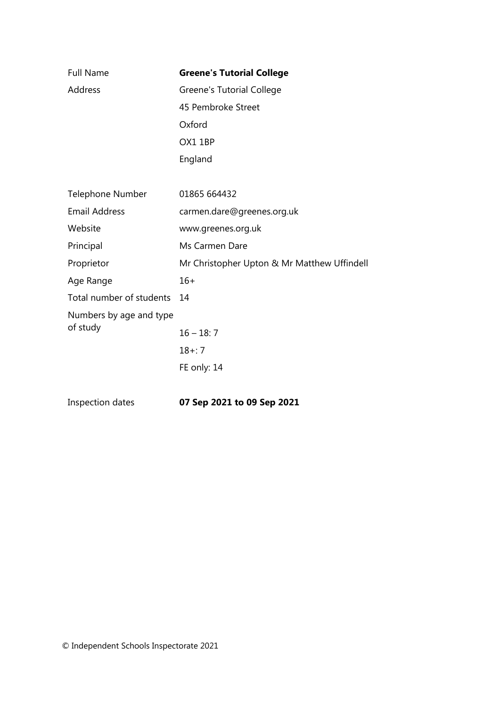| <b>Full Name</b>         | <b>Greene's Tutorial College</b>            |
|--------------------------|---------------------------------------------|
| Address                  | Greene's Tutorial College                   |
|                          | 45 Pembroke Street                          |
|                          | Oxford                                      |
|                          | OX1 1BP                                     |
|                          | England                                     |
|                          |                                             |
| Telephone Number         | 01865 664432                                |
| <b>Email Address</b>     | carmen.dare@greenes.org.uk                  |
| Website                  | www.greenes.org.uk                          |
| Principal                | Ms Carmen Dare                              |
| Proprietor               | Mr Christopher Upton & Mr Matthew Uffindell |
| Age Range                | $16+$                                       |
| Total number of students | 14                                          |
| Numbers by age and type  |                                             |
| of study                 | $16 - 18:7$                                 |
|                          | $18 + 7$                                    |
|                          | FE only: 14                                 |
| Inspection dates         | 07 Sep 2021 to 09 Sep 2021                  |

© Independent Schools Inspectorate 2021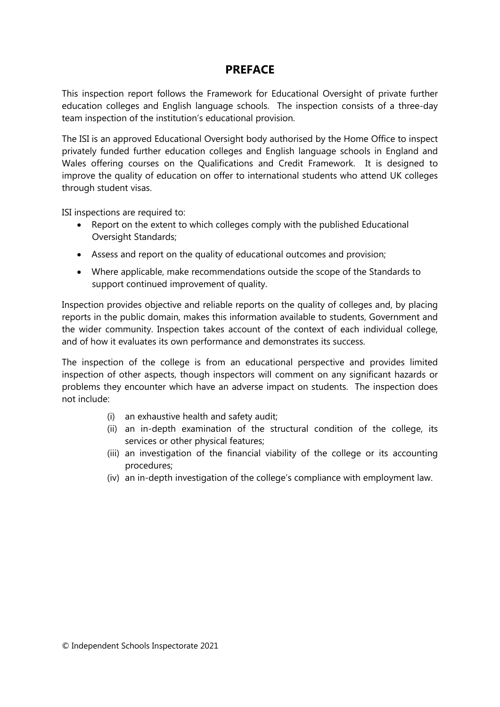## **PREFACE**

This inspection report follows the Framework for Educational Oversight of private further education colleges and English language schools. The inspection consists of a three-day team inspection of the institution's educational provision.

The ISI is an approved Educational Oversight body authorised by the Home Office to inspect privately funded further education colleges and English language schools in England and Wales offering courses on the Qualifications and Credit Framework. It is designed to improve the quality of education on offer to international students who attend UK colleges through student visas.

ISI inspections are required to:

- Report on the extent to which colleges comply with the published Educational Oversight Standards;
- Assess and report on the quality of educational outcomes and provision;
- Where applicable, make recommendations outside the scope of the Standards to support continued improvement of quality.

Inspection provides objective and reliable reports on the quality of colleges and, by placing reports in the public domain, makes this information available to students, Government and the wider community. Inspection takes account of the context of each individual college, and of how it evaluates its own performance and demonstrates its success.

The inspection of the college is from an educational perspective and provides limited inspection of other aspects, though inspectors will comment on any significant hazards or problems they encounter which have an adverse impact on students. The inspection does not include:

- (i) an exhaustive health and safety audit;
- (ii) an in-depth examination of the structural condition of the college, its services or other physical features;
- (iii) an investigation of the financial viability of the college or its accounting procedures;
- (iv) an in-depth investigation of the college's compliance with employment law.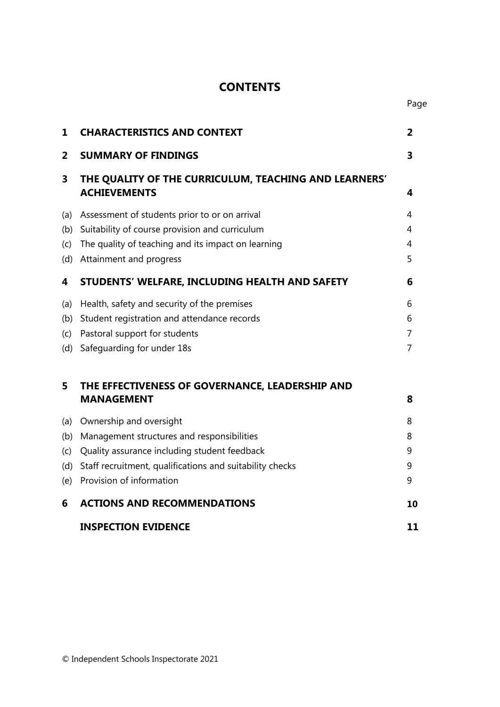## **CONTENTS**

Page

| 1   | <b>CHARACTERISTICS AND CONTEXT</b>                                           | $\overline{2}$ |
|-----|------------------------------------------------------------------------------|----------------|
| 2   | <b>SUMMARY OF FINDINGS</b>                                                   | 3              |
| 3   | THE QUALITY OF THE CURRICULUM, TEACHING AND LEARNERS'<br><b>ACHIEVEMENTS</b> | 4              |
| (a) | Assessment of students prior to or on arrival                                | 4              |
| (b) | Suitability of course provision and curriculum                               | 4              |
| (c) | The quality of teaching and its impact on learning                           | 4              |
| (d) | Attainment and progress                                                      | 5              |
| 4   | STUDENTS' WELFARE, INCLUDING HEALTH AND SAFETY                               | 6              |
| (a) | Health, safety and security of the premises                                  | 6              |
| (b) | Student registration and attendance records                                  | 6              |
| (c) | Pastoral support for students                                                | 7              |
| (d) | Safeguarding for under 18s                                                   | 7              |
| 5   | THE EFFECTIVENESS OF GOVERNANCE, LEADERSHIP AND                              |                |
|     | <b>MANAGEMENT</b>                                                            | 8              |
| (a) | Ownership and oversight                                                      | 8              |
| (b) | Management structures and responsibilities                                   | 8              |
| (c) | Quality assurance including student feedback                                 | 9              |
| (d) | Staff recruitment, qualifications and suitability checks                     | 9              |
| (e) | Provision of information                                                     | 9              |
| 6   | <b>ACTIONS AND RECOMMENDATIONS</b>                                           | 10             |
|     | <b>INSPECTION EVIDENCE</b>                                                   | 11             |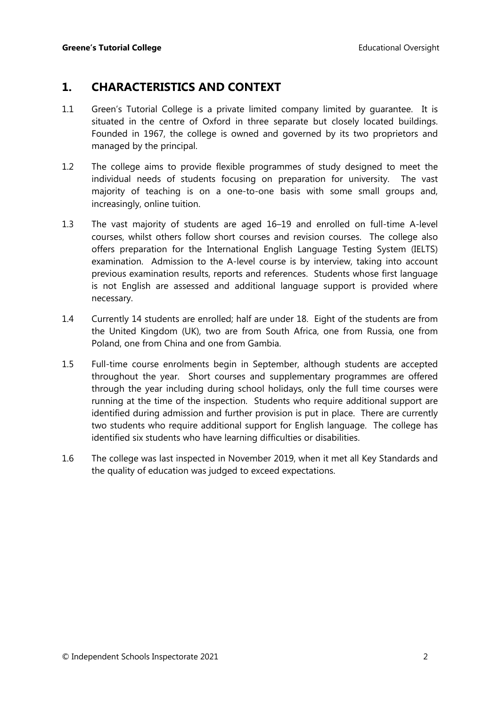## **1. CHARACTERISTICS AND CONTEXT**

- 1.1 Green's Tutorial College is a private limited company limited by guarantee. It is situated in the centre of Oxford in three separate but closely located buildings. Founded in 1967, the college is owned and governed by its two proprietors and managed by the principal.
- 1.2 The college aims to provide flexible programmes of study designed to meet the individual needs of students focusing on preparation for university. The vast majority of teaching is on a one-to-one basis with some small groups and, increasingly, online tuition.
- 1.3 The vast majority of students are aged 16–19 and enrolled on full-time A-level courses, whilst others follow short courses and revision courses. The college also offers preparation for the International English Language Testing System (IELTS) examination. Admission to the A-level course is by interview, taking into account previous examination results, reports and references. Students whose first language is not English are assessed and additional language support is provided where necessary.
- 1.4 Currently 14 students are enrolled; half are under 18. Eight of the students are from the United Kingdom (UK), two are from South Africa, one from Russia, one from Poland, one from China and one from Gambia.
- 1.5 Full-time course enrolments begin in September, although students are accepted throughout the year. Short courses and supplementary programmes are offered through the year including during school holidays, only the full time courses were running at the time of the inspection. Students who require additional support are identified during admission and further provision is put in place. There are currently two students who require additional support for English language. The college has identified six students who have learning difficulties or disabilities.
- 1.6 The college was last inspected in November 2019, when it met all Key Standards and the quality of education was judged to exceed expectations.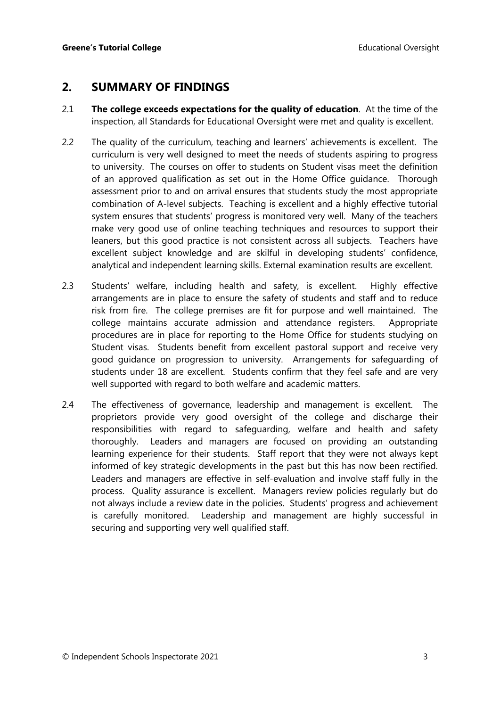## **2. SUMMARY OF FINDINGS**

- 2.1 **The college exceeds expectations for the quality of education**. At the time of the inspection, all Standards for Educational Oversight were met and quality is excellent.
- 2.2 The quality of the curriculum, teaching and learners' achievements is excellent. The curriculum is very well designed to meet the needs of students aspiring to progress to university. The courses on offer to students on Student visas meet the definition of an approved qualification as set out in the Home Office guidance. Thorough assessment prior to and on arrival ensures that students study the most appropriate combination of A-level subjects. Teaching is excellent and a highly effective tutorial system ensures that students' progress is monitored very well. Many of the teachers make very good use of online teaching techniques and resources to support their leaners, but this good practice is not consistent across all subjects. Teachers have excellent subject knowledge and are skilful in developing students' confidence, analytical and independent learning skills. External examination results are excellent.
- 2.3 Students' welfare, including health and safety, is excellent. Highly effective arrangements are in place to ensure the safety of students and staff and to reduce risk from fire. The college premises are fit for purpose and well maintained. The college maintains accurate admission and attendance registers. Appropriate procedures are in place for reporting to the Home Office for students studying on Student visas. Students benefit from excellent pastoral support and receive very good guidance on progression to university. Arrangements for safeguarding of students under 18 are excellent. Students confirm that they feel safe and are very well supported with regard to both welfare and academic matters.
- 2.4 The effectiveness of governance, leadership and management is excellent. The proprietors provide very good oversight of the college and discharge their responsibilities with regard to safeguarding, welfare and health and safety thoroughly. Leaders and managers are focused on providing an outstanding learning experience for their students. Staff report that they were not always kept informed of key strategic developments in the past but this has now been rectified. Leaders and managers are effective in self-evaluation and involve staff fully in the process. Quality assurance is excellent. Managers review policies regularly but do not always include a review date in the policies. Students' progress and achievement is carefully monitored. Leadership and management are highly successful in securing and supporting very well qualified staff.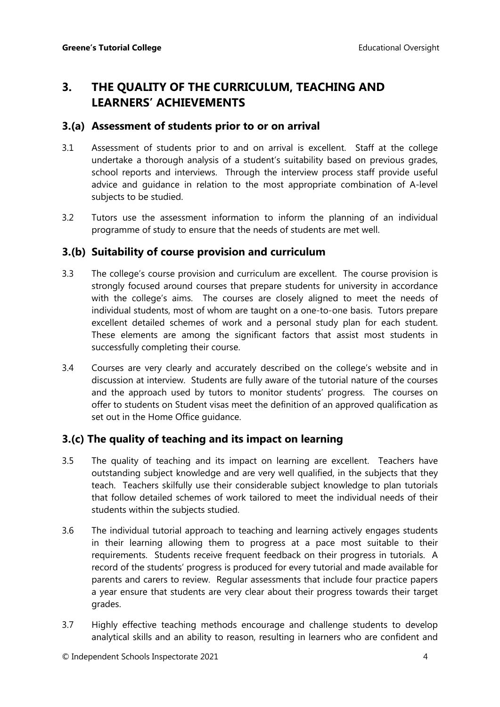## **3. THE QUALITY OF THE CURRICULUM, TEACHING AND LEARNERS' ACHIEVEMENTS**

#### **3.(a) Assessment of students prior to or on arrival**

- 3.1 Assessment of students prior to and on arrival is excellent. Staff at the college undertake a thorough analysis of a student's suitability based on previous grades, school reports and interviews. Through the interview process staff provide useful advice and guidance in relation to the most appropriate combination of A-level subjects to be studied.
- 3.2 Tutors use the assessment information to inform the planning of an individual programme of study to ensure that the needs of students are met well.

#### **3.(b) Suitability of course provision and curriculum**

- 3.3 The college's course provision and curriculum are excellent. The course provision is strongly focused around courses that prepare students for university in accordance with the college's aims. The courses are closely aligned to meet the needs of individual students, most of whom are taught on a one-to-one basis. Tutors prepare excellent detailed schemes of work and a personal study plan for each student. These elements are among the significant factors that assist most students in successfully completing their course.
- 3.4 Courses are very clearly and accurately described on the college's website and in discussion at interview. Students are fully aware of the tutorial nature of the courses and the approach used by tutors to monitor students' progress. The courses on offer to students on Student visas meet the definition of an approved qualification as set out in the Home Office guidance.

## **3.(c) The quality of teaching and its impact on learning**

- 3.5 The quality of teaching and its impact on learning are excellent. Teachers have outstanding subject knowledge and are very well qualified, in the subjects that they teach. Teachers skilfully use their considerable subject knowledge to plan tutorials that follow detailed schemes of work tailored to meet the individual needs of their students within the subjects studied.
- 3.6 The individual tutorial approach to teaching and learning actively engages students in their learning allowing them to progress at a pace most suitable to their requirements. Students receive frequent feedback on their progress in tutorials. A record of the students' progress is produced for every tutorial and made available for parents and carers to review. Regular assessments that include four practice papers a year ensure that students are very clear about their progress towards their target grades.
- 3.7 Highly effective teaching methods encourage and challenge students to develop analytical skills and an ability to reason, resulting in learners who are confident and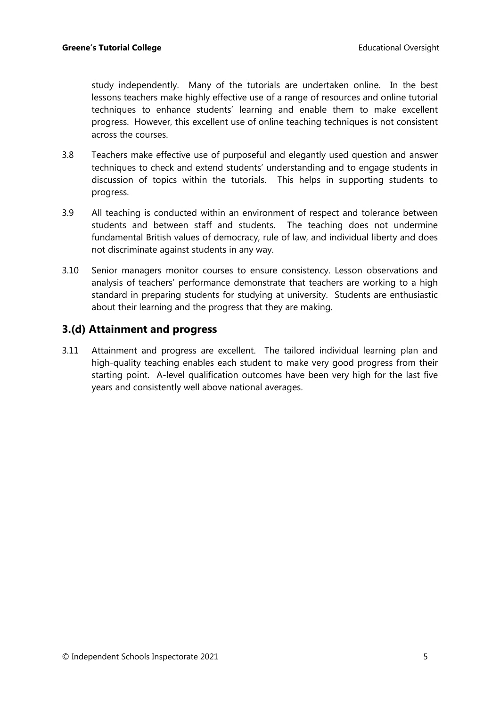study independently. Many of the tutorials are undertaken online. In the best lessons teachers make highly effective use of a range of resources and online tutorial techniques to enhance students' learning and enable them to make excellent progress. However, this excellent use of online teaching techniques is not consistent across the courses.

- 3.8 Teachers make effective use of purposeful and elegantly used question and answer techniques to check and extend students' understanding and to engage students in discussion of topics within the tutorials. This helps in supporting students to progress.
- 3.9 All teaching is conducted within an environment of respect and tolerance between students and between staff and students. The teaching does not undermine fundamental British values of democracy, rule of law, and individual liberty and does not discriminate against students in any way.
- 3.10 Senior managers monitor courses to ensure consistency. Lesson observations and analysis of teachers' performance demonstrate that teachers are working to a high standard in preparing students for studying at university. Students are enthusiastic about their learning and the progress that they are making.

### **3.(d) Attainment and progress**

3.11 Attainment and progress are excellent. The tailored individual learning plan and high-quality teaching enables each student to make very good progress from their starting point. A-level qualification outcomes have been very high for the last five years and consistently well above national averages.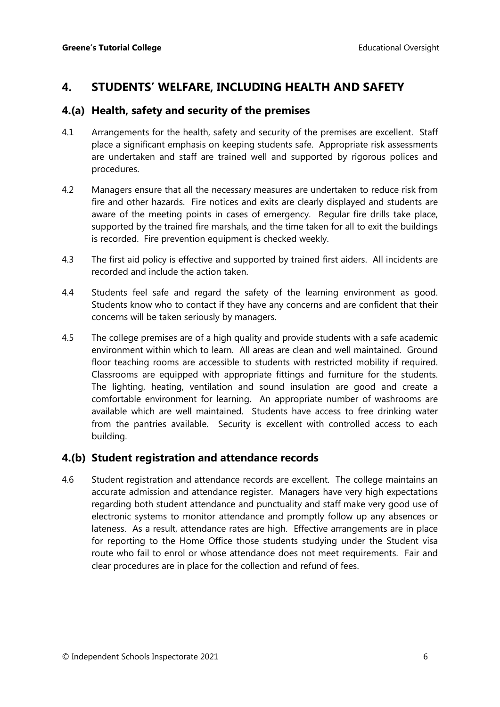## **4. STUDENTS' WELFARE, INCLUDING HEALTH AND SAFETY**

### **4.(a) Health, safety and security of the premises**

- 4.1 Arrangements for the health, safety and security of the premises are excellent. Staff place a significant emphasis on keeping students safe. Appropriate risk assessments are undertaken and staff are trained well and supported by rigorous polices and procedures.
- 4.2 Managers ensure that all the necessary measures are undertaken to reduce risk from fire and other hazards. Fire notices and exits are clearly displayed and students are aware of the meeting points in cases of emergency. Regular fire drills take place, supported by the trained fire marshals, and the time taken for all to exit the buildings is recorded. Fire prevention equipment is checked weekly.
- 4.3 The first aid policy is effective and supported by trained first aiders. All incidents are recorded and include the action taken.
- 4.4 Students feel safe and regard the safety of the learning environment as good. Students know who to contact if they have any concerns and are confident that their concerns will be taken seriously by managers.
- 4.5 The college premises are of a high quality and provide students with a safe academic environment within which to learn. All areas are clean and well maintained. Ground floor teaching rooms are accessible to students with restricted mobility if required. Classrooms are equipped with appropriate fittings and furniture for the students. The lighting, heating, ventilation and sound insulation are good and create a comfortable environment for learning. An appropriate number of washrooms are available which are well maintained. Students have access to free drinking water from the pantries available. Security is excellent with controlled access to each building.

#### **4.(b) Student registration and attendance records**

4.6 Student registration and attendance records are excellent. The college maintains an accurate admission and attendance register. Managers have very high expectations regarding both student attendance and punctuality and staff make very good use of electronic systems to monitor attendance and promptly follow up any absences or lateness. As a result, attendance rates are high. Effective arrangements are in place for reporting to the Home Office those students studying under the Student visa route who fail to enrol or whose attendance does not meet requirements. Fair and clear procedures are in place for the collection and refund of fees.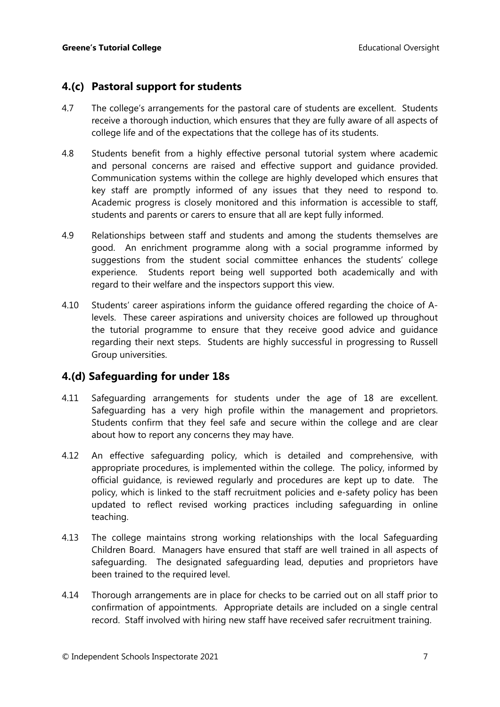### **4.(c) Pastoral support for students**

- 4.7 The college's arrangements for the pastoral care of students are excellent. Students receive a thorough induction, which ensures that they are fully aware of all aspects of college life and of the expectations that the college has of its students.
- 4.8 Students benefit from a highly effective personal tutorial system where academic and personal concerns are raised and effective support and guidance provided. Communication systems within the college are highly developed which ensures that key staff are promptly informed of any issues that they need to respond to. Academic progress is closely monitored and this information is accessible to staff, students and parents or carers to ensure that all are kept fully informed.
- 4.9 Relationships between staff and students and among the students themselves are good. An enrichment programme along with a social programme informed by suggestions from the student social committee enhances the students' college experience. Students report being well supported both academically and with regard to their welfare and the inspectors support this view.
- 4.10 Students' career aspirations inform the guidance offered regarding the choice of Alevels. These career aspirations and university choices are followed up throughout the tutorial programme to ensure that they receive good advice and guidance regarding their next steps. Students are highly successful in progressing to Russell Group universities.

## **4.(d) Safeguarding for under 18s**

- 4.11 Safeguarding arrangements for students under the age of 18 are excellent. Safeguarding has a very high profile within the management and proprietors. Students confirm that they feel safe and secure within the college and are clear about how to report any concerns they may have.
- 4.12 An effective safeguarding policy, which is detailed and comprehensive, with appropriate procedures, is implemented within the college. The policy, informed by official guidance, is reviewed regularly and procedures are kept up to date. The policy, which is linked to the staff recruitment policies and e-safety policy has been updated to reflect revised working practices including safeguarding in online teaching.
- 4.13 The college maintains strong working relationships with the local Safeguarding Children Board. Managers have ensured that staff are well trained in all aspects of safeguarding. The designated safeguarding lead, deputies and proprietors have been trained to the required level.
- 4.14 Thorough arrangements are in place for checks to be carried out on all staff prior to confirmation of appointments. Appropriate details are included on a single central record. Staff involved with hiring new staff have received safer recruitment training.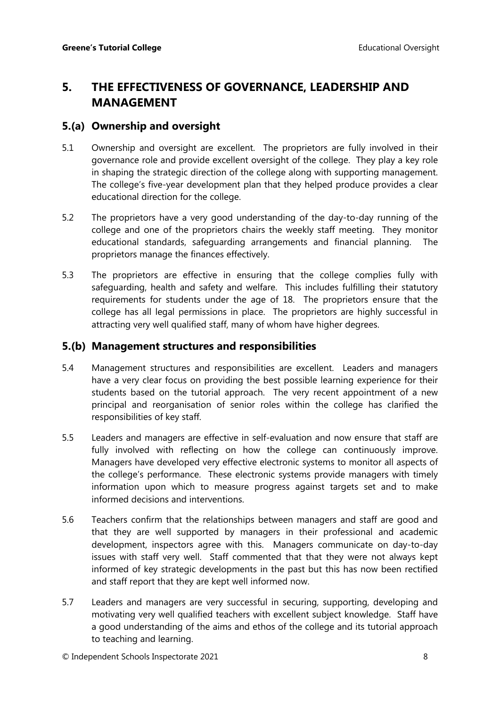## **5. THE EFFECTIVENESS OF GOVERNANCE, LEADERSHIP AND MANAGEMENT**

#### **5.(a) Ownership and oversight**

- 5.1 Ownership and oversight are excellent. The proprietors are fully involved in their governance role and provide excellent oversight of the college. They play a key role in shaping the strategic direction of the college along with supporting management. The college's five-year development plan that they helped produce provides a clear educational direction for the college.
- 5.2 The proprietors have a very good understanding of the day-to-day running of the college and one of the proprietors chairs the weekly staff meeting. They monitor educational standards, safeguarding arrangements and financial planning. The proprietors manage the finances effectively.
- 5.3 The proprietors are effective in ensuring that the college complies fully with safeguarding, health and safety and welfare. This includes fulfilling their statutory requirements for students under the age of 18. The proprietors ensure that the college has all legal permissions in place. The proprietors are highly successful in attracting very well qualified staff, many of whom have higher degrees.

#### **5.(b) Management structures and responsibilities**

- 5.4 Management structures and responsibilities are excellent. Leaders and managers have a very clear focus on providing the best possible learning experience for their students based on the tutorial approach. The very recent appointment of a new principal and reorganisation of senior roles within the college has clarified the responsibilities of key staff.
- 5.5 Leaders and managers are effective in self-evaluation and now ensure that staff are fully involved with reflecting on how the college can continuously improve. Managers have developed very effective electronic systems to monitor all aspects of the college's performance. These electronic systems provide managers with timely information upon which to measure progress against targets set and to make informed decisions and interventions.
- 5.6 Teachers confirm that the relationships between managers and staff are good and that they are well supported by managers in their professional and academic development, inspectors agree with this. Managers communicate on day-to-day issues with staff very well. Staff commented that that they were not always kept informed of key strategic developments in the past but this has now been rectified and staff report that they are kept well informed now.
- 5.7 Leaders and managers are very successful in securing, supporting, developing and motivating very well qualified teachers with excellent subject knowledge. Staff have a good understanding of the aims and ethos of the college and its tutorial approach to teaching and learning.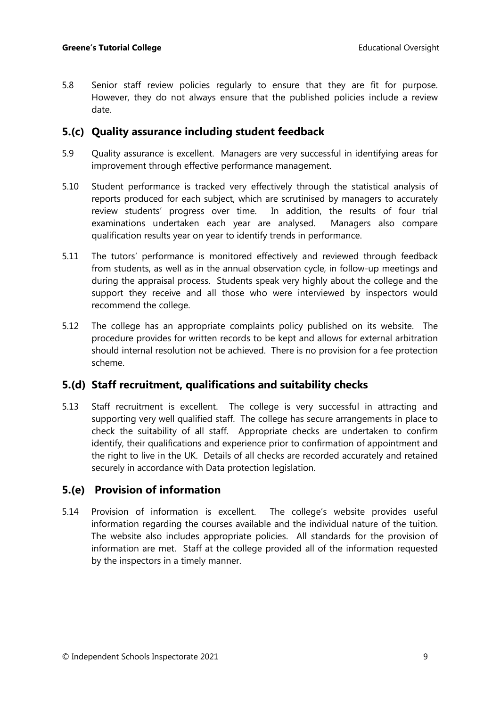5.8 Senior staff review policies regularly to ensure that they are fit for purpose. However, they do not always ensure that the published policies include a review date.

### **5.(c) Quality assurance including student feedback**

- 5.9 Quality assurance is excellent. Managers are very successful in identifying areas for improvement through effective performance management.
- 5.10 Student performance is tracked very effectively through the statistical analysis of reports produced for each subject, which are scrutinised by managers to accurately review students' progress over time. In addition, the results of four trial examinations undertaken each year are analysed. Managers also compare qualification results year on year to identify trends in performance.
- 5.11 The tutors' performance is monitored effectively and reviewed through feedback from students, as well as in the annual observation cycle, in follow-up meetings and during the appraisal process. Students speak very highly about the college and the support they receive and all those who were interviewed by inspectors would recommend the college.
- 5.12 The college has an appropriate complaints policy published on its website. The procedure provides for written records to be kept and allows for external arbitration should internal resolution not be achieved. There is no provision for a fee protection scheme.

#### **5.(d) Staff recruitment, qualifications and suitability checks**

5.13 Staff recruitment is excellent. The college is very successful in attracting and supporting very well qualified staff. The college has secure arrangements in place to check the suitability of all staff. Appropriate checks are undertaken to confirm identify, their qualifications and experience prior to confirmation of appointment and the right to live in the UK. Details of all checks are recorded accurately and retained securely in accordance with Data protection legislation.

#### **5.(e) Provision of information**

5.14 Provision of information is excellent. The college's website provides useful information regarding the courses available and the individual nature of the tuition. The website also includes appropriate policies. All standards for the provision of information are met. Staff at the college provided all of the information requested by the inspectors in a timely manner.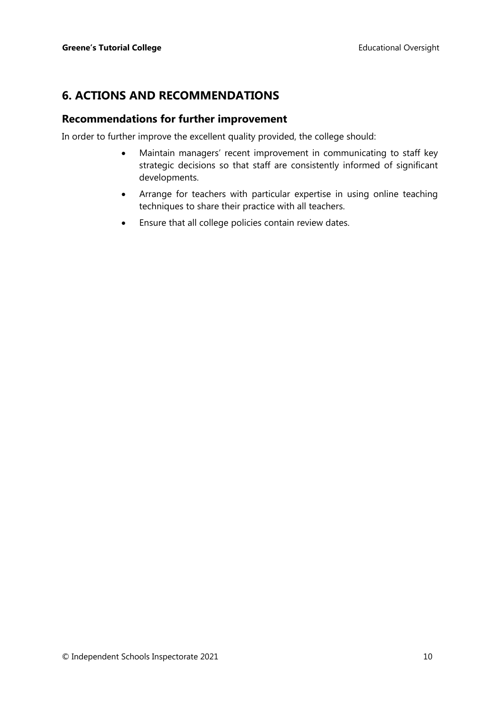## **6. ACTIONS AND RECOMMENDATIONS**

#### **Recommendations for further improvement**

In order to further improve the excellent quality provided, the college should:

- Maintain managers' recent improvement in communicating to staff key strategic decisions so that staff are consistently informed of significant developments.
- Arrange for teachers with particular expertise in using online teaching techniques to share their practice with all teachers.
- Ensure that all college policies contain review dates.